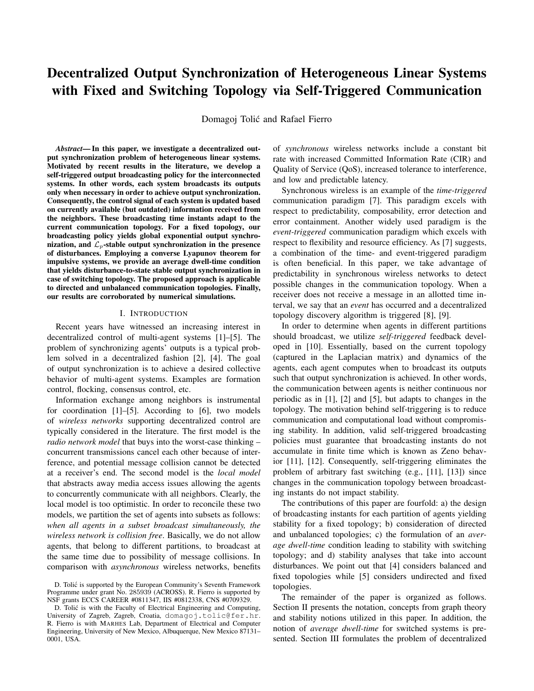# Decentralized Output Synchronization of Heterogeneous Linear Systems with Fixed and Switching Topology via Self-Triggered Communication

Domagoj Tolic and Rafael Fierro ´

*Abstract*— In this paper, we investigate a decentralized output synchronization problem of heterogeneous linear systems. Motivated by recent results in the literature, we develop a self-triggered output broadcasting policy for the interconnected systems. In other words, each system broadcasts its outputs only when necessary in order to achieve output synchronization. Consequently, the control signal of each system is updated based on currently available (but outdated) information received from the neighbors. These broadcasting time instants adapt to the current communication topology. For a fixed topology, our broadcasting policy yields global exponential output synchronization, and  $\mathcal{L}_p$ -stable output synchronization in the presence of disturbances. Employing a converse Lyapunov theorem for impulsive systems, we provide an average dwell-time condition that yields disturbance-to-state stable output synchronization in case of switching topology. The proposed approach is applicable to directed and unbalanced communication topologies. Finally, our results are corroborated by numerical simulations.

#### I. INTRODUCTION

Recent years have witnessed an increasing interest in decentralized control of multi-agent systems [1]–[5]. The problem of synchronizing agents' outputs is a typical problem solved in a decentralized fashion [2], [4]. The goal of output synchronization is to achieve a desired collective behavior of multi-agent systems. Examples are formation control, flocking, consensus control, etc.

Information exchange among neighbors is instrumental for coordination [1]–[5]. According to [6], two models of *wireless networks* supporting decentralized control are typically considered in the literature. The first model is the *radio network model* that buys into the worst-case thinking – concurrent transmissions cancel each other because of interference, and potential message collision cannot be detected at a receiver's end. The second model is the *local model* that abstracts away media access issues allowing the agents to concurrently communicate with all neighbors. Clearly, the local model is too optimistic. In order to reconcile these two models, we partition the set of agents into subsets as follows: *when all agents in a subset broadcast simultaneously, the wireless network is collision free*. Basically, we do not allow agents, that belong to different partitions, to broadcast at the same time due to possibility of message collisions. In comparison with *asynchronous* wireless networks, benefits of *synchronous* wireless networks include a constant bit rate with increased Committed Information Rate (CIR) and Quality of Service (QoS), increased tolerance to interference, and low and predictable latency.

Synchronous wireless is an example of the *time-triggered* communication paradigm [7]. This paradigm excels with respect to predictability, composability, error detection and error containment. Another widely used paradigm is the *event-triggered* communication paradigm which excels with respect to flexibility and resource efficiency. As [7] suggests, a combination of the time- and event-triggered paradigm is often beneficial. In this paper, we take advantage of predictability in synchronous wireless networks to detect possible changes in the communication topology. When a receiver does not receive a message in an allotted time interval, we say that an *event* has occurred and a decentralized topology discovery algorithm is triggered [8], [9].

In order to determine when agents in different partitions should broadcast, we utilize *self-triggered* feedback developed in [10]. Essentially, based on the current topology (captured in the Laplacian matrix) and dynamics of the agents, each agent computes when to broadcast its outputs such that output synchronization is achieved. In other words, the communication between agents is neither continuous nor periodic as in [1], [2] and [5], but adapts to changes in the topology. The motivation behind self-triggering is to reduce communication and computational load without compromising stability. In addition, valid self-triggered broadcasting policies must guarantee that broadcasting instants do not accumulate in finite time which is known as Zeno behavior [11], [12]. Consequently, self-triggering eliminates the problem of arbitrary fast switching (e.g., [11], [13]) since changes in the communication topology between broadcasting instants do not impact stability.

The contributions of this paper are fourfold: a) the design of broadcasting instants for each partition of agents yielding stability for a fixed topology; b) consideration of directed and unbalanced topologies; c) the formulation of an *average dwell-time* condition leading to stability with switching topology; and d) stability analyses that take into account disturbances. We point out that [4] considers balanced and fixed topologies while [5] considers undirected and fixed topologies.

The remainder of the paper is organized as follows. Section II presents the notation, concepts from graph theory and stability notions utilized in this paper. In addition, the notion of *average dwell-time* for switched systems is presented. Section III formulates the problem of decentralized

D. Tolić is supported by the European Community's Seventh Framework Programme under grant No. 285939 (ACROSS). R. Fierro is supported by NSF grants ECCS CAREER #0811347, IIS #0812338, CNS #0709329.

D. Tolić is with the Faculty of Electrical Engineering and Computing, University of Zagreb, Zagreb, Croatia, domagoj.tolic@fer.hr. R. Fierro is with MARHES Lab, Department of Electrical and Computer Engineering, University of New Mexico, Albuquerque, New Mexico 87131– 0001, USA.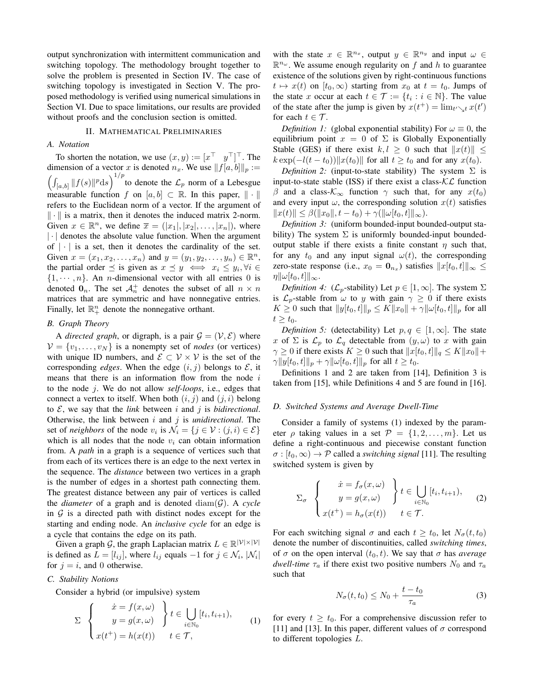output synchronization with intermittent communication and switching topology. The methodology brought together to solve the problem is presented in Section IV. The case of switching topology is investigated in Section V. The proposed methodology is verified using numerical simulations in Section VI. Due to space limitations, our results are provided without proofs and the conclusion section is omitted.

## II. MATHEMATICAL PRELIMINARIES

# *A. Notation*

To shorten the notation, we use  $(x, y) := [x^\top \ y^\top]^\top$ . The dimension of a vector x is denoted  $n_x$ . We use  $||f[a, b]||_p :=$  $\left(\int_{[a,b]} ||f(s)||^p ds\right)^{1/p}$  to denote the  $\mathcal{L}_p$  norm of a Lebesgue measurable function f on  $[a, b] \subset \mathbb{R}$ . In this paper,  $\|\cdot\|$ refers to the Euclidean norm of a vector. If the argument of  $\|\cdot\|$  is a matrix, then it denotes the induced matrix 2-norm. Given  $x \in \mathbb{R}^n$ , we define  $\overline{x} = (|x_1|, |x_2|, \dots, |x_n|)$ , where  $|\cdot|$  denotes the absolute value function. When the argument of  $|\cdot|$  is a set, then it denotes the cardinality of the set. Given  $x = (x_1, x_2, ..., x_n)$  and  $y = (y_1, y_2, ..., y_n) \in \mathbb{R}^n$ , the partial order  $\preceq$  is given as  $x \preceq y \iff x_i \leq y_i, \forall i \in$  $\{1, \dots, n\}$ . An *n*-dimensional vector with all entries 0 is denoted  $\mathbf{0}_n$ . The set  $\mathcal{A}_n^+$  denotes the subset of all  $n \times n$ matrices that are symmetric and have nonnegative entries. Finally, let  $\mathbb{R}^n_+$  denote the nonnegative orthant.

## *B. Graph Theory*

A *directed graph*, or digraph, is a pair  $\mathcal{G} = (\mathcal{V}, \mathcal{E})$  where  $V = \{v_1, \ldots, v_N\}$  is a nonempty set of *nodes* (or vertices) with unique ID numbers, and  $\mathcal{E} \subset \mathcal{V} \times \mathcal{V}$  is the set of the corresponding *edges*. When the edge  $(i, j)$  belongs to  $\mathcal{E}$ , it means that there is an information flow from the node  $i$ to the node j. We do not allow *self-loops*, i.e., edges that connect a vertex to itself. When both  $(i, j)$  and  $(j, i)$  belong to  $\mathcal{E}$ , we say that the *link* between i and j is *bidirectional*. Otherwise, the link between i and j is *unidirectional*. The set of *neighbors* of the node  $v_i$  is  $\mathcal{N}_i = \{j \in \mathcal{V} : (j, i) \in \mathcal{E}\}\$ which is all nodes that the node  $v_i$  can obtain information from. A *path* in a graph is a sequence of vertices such that from each of its vertices there is an edge to the next vertex in the sequence. The *distance* between two vertices in a graph is the number of edges in a shortest path connecting them. The greatest distance between any pair of vertices is called the *diameter* of a graph and is denoted  $\text{diam}(\mathcal{G})$ . A *cycle* in  $G$  is a directed path with distinct nodes except for the starting and ending node. An *inclusive cycle* for an edge is a cycle that contains the edge on its path.

Given a graph G, the graph Laplacian matrix  $L \in \mathbb{R}^{|\mathcal{V}| \times |\mathcal{V}|}$ is defined as  $L = [l_{ij}]$ , where  $l_{ij}$  equals  $-1$  for  $j \in \mathcal{N}_i$ ,  $|\mathcal{N}_i|$ for  $j = i$ , and 0 otherwise.

# *C. Stability Notions*

Consider a hybrid (or impulsive) system

$$
\Sigma \begin{cases} \dot{x} = f(x, \omega) \\ y = g(x, \omega) \end{cases} t \in \bigcup_{i \in \mathbb{N}_0} [t_i, t_{i+1}), \quad (1) \\ x(t^+) = h(x(t)) \quad t \in \mathcal{T},
$$

with the state  $x \in \mathbb{R}^{n_x}$ , output  $y \in \mathbb{R}^{n_y}$  and input  $\omega \in$  $\mathbb{R}^{n_{\omega}}$ . We assume enough regularity on f and h to guarantee existence of the solutions given by right-continuous functions  $t \mapsto x(t)$  on  $[t_0, \infty)$  starting from  $x_0$  at  $t = t_0$ . Jumps of the state x occur at each  $t \in \mathcal{T} := \{t_i : i \in \mathbb{N}\}\.$  The value of the state after the jump is given by  $x(t^+) = \lim_{t \to \infty} x(t)$ for each  $t \in \mathcal{T}$ .

*Definition 1:* (global exponential stability) For  $\omega \equiv 0$ , the equilibrium point  $x = 0$  of  $\Sigma$  is Globally Exponentially Stable (GES) if there exist  $k, l \geq 0$  such that  $||x(t)|| \leq$  $k \exp(-l(t - t_0))||x(t_0)||$  for all  $t \ge t_0$  and for any  $x(t_0)$ .

*Definition 2:* (input-to-state stability) The system  $\Sigma$  is input-to-state stable (ISS) if there exist a class- $\mathcal{KL}$  function β and a class- $\mathcal{K}_{\infty}$  function  $\gamma$  such that, for any  $x(t_0)$ and every input  $\omega$ , the corresponding solution  $x(t)$  satisfies  $||x(t)|| \leq \beta(||x_0||, t - t_0) + \gamma(||\omega|t_0, t||_{\infty}).$ 

*Definition 3:* (uniform bounded-input bounded-output stability) The system  $\Sigma$  is uniformly bounded-input boundedoutput stable if there exists a finite constant  $\eta$  such that, for any  $t_0$  and any input signal  $\omega(t)$ , the corresponding zero-state response (i.e.,  $x_0 = \mathbf{0}_{n_x}$ ) satisfies  $||x[t_0, t]||_{\infty} \leq$  $\eta\|\omega[t_0, t]\|_{\infty}$ .

*Definition 4:* ( $\mathcal{L}_p$ -stability) Let  $p \in [1, \infty]$ . The system  $\Sigma$ is  $\mathcal{L}_p$ -stable from  $\omega$  to y with gain  $\gamma \geq 0$  if there exists  $K \ge 0$  such that  $||y[t_0, t]||_p \le K||x_0|| + \gamma ||\omega[t_0, t]||_p$  for all  $t \geq t_0$ .

*Definition 5:* (detectability) Let  $p, q \in [1, \infty]$ . The state x of  $\Sigma$  is  $\mathcal{L}_p$  to  $\mathcal{L}_q$  detectable from  $(y, \omega)$  to x with gain  $\gamma \geq 0$  if there exists  $K \geq 0$  such that  $||x[t_0, t]||_q \leq K||x_0||+$  $\gamma \|y[t_0, t]\|_p + \gamma \|\omega[t_0, t]\|_p$  for all  $t \geq t_0$ .

Definitions 1 and 2 are taken from [14], Definition 3 is taken from [15], while Definitions 4 and 5 are found in [16].

## *D. Switched Systems and Average Dwell-Time*

Consider a family of systems (1) indexed by the parameter  $\rho$  taking values in a set  $\mathcal{P} = \{1, 2, \ldots, m\}$ . Let us define a right-continuous and piecewise constant function  $\sigma : [t_0, \infty) \to \mathcal{P}$  called a *switching signal* [11]. The resulting switched system is given by

$$
\Sigma_{\sigma} \left\{ \begin{aligned} \dot{x} &= f_{\sigma}(x,\omega) \\ y &= g(x,\omega) \\ x(t^+) &= h_{\sigma}(x(t)) \end{aligned} \right\} t \in \bigcup_{i \in \mathbb{N}_0} [t_i, t_{i+1}), \qquad (2)
$$

For each switching signal  $\sigma$  and each  $t \geq t_0$ , let  $N_{\sigma}(t, t_0)$ denote the number of discontinuities, called *switching times*, of  $\sigma$  on the open interval  $(t_0, t)$ . We say that  $\sigma$  has *average dwell-time*  $\tau_a$  if there exist two positive numbers  $N_0$  and  $\tau_a$ such that

$$
N_{\sigma}(t, t_0) \le N_0 + \frac{t - t_0}{\tau_a} \tag{3}
$$

for every  $t \geq t_0$ . For a comprehensive discussion refer to [11] and [13]. In this paper, different values of  $\sigma$  correspond to different topologies L.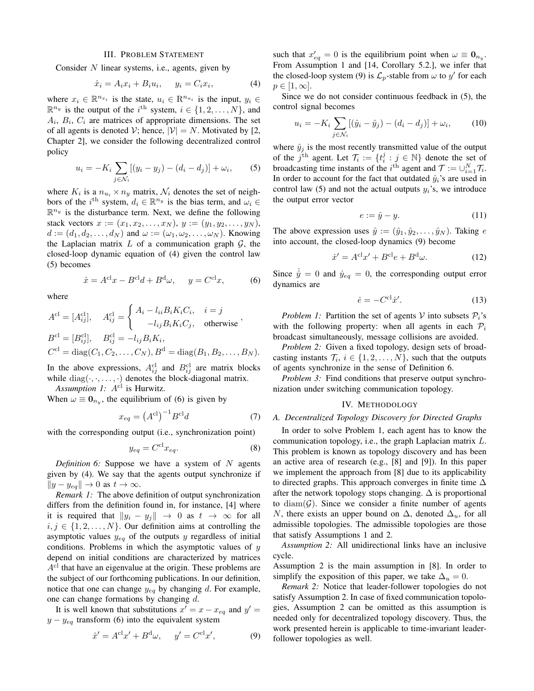## III. PROBLEM STATEMENT

Consider  $N$  linear systems, i.e., agents, given by

$$
\dot{x}_i = A_i x_i + B_i u_i, \qquad y_i = C_i x_i,\tag{4}
$$

where  $x_i \in \mathbb{R}^{n_{x_i}}$  is the state,  $u_i \in \mathbb{R}^{n_{u_i}}$  is the input,  $y_i \in$  $\mathbb{R}^{n_y}$  is the output of the i<sup>th</sup> system,  $i \in \{1, 2, ..., N\}$ , and  $A_i$ ,  $B_i$ ,  $C_i$  are matrices of appropriate dimensions. The set of all agents is denoted V; hence,  $|V| = N$ . Motivated by [2, Chapter 2], we consider the following decentralized control policy

$$
u_i = -K_i \sum_{j \in \mathcal{N}_i} [(y_i - y_j) - (d_i - d_j)] + \omega_i,
$$
 (5)

where  $K_i$  is a  $n_{u_i} \times n_y$  matrix,  $\mathcal{N}_i$  denotes the set of neighbors of the i<sup>th</sup> system,  $d_i \in \mathbb{R}^{n_y}$  is the bias term, and  $\omega_i \in$  $\mathbb{R}^{n_y}$  is the disturbance term. Next, we define the following stack vectors  $x := (x_1, x_2, \ldots, x_N), y := (y_1, y_2, \ldots, y_N),$  $d := (d_1, d_2, \ldots, d_N)$  and  $\omega := (\omega_1, \omega_2, \ldots, \omega_N)$ . Knowing the Laplacian matrix  $L$  of a communication graph  $G$ , the closed-loop dynamic equation of (4) given the control law (5) becomes

$$
\dot{x} = A^{\text{cl}}x - B^{\text{cl}}d + B^{\text{d}}\omega, \quad y = C^{\text{cl}}x,\tag{6}
$$

where

$$
A^{\text{cl}} = [A_{ij}^{\text{cl}}], \quad A_{ij}^{\text{cl}} = \begin{cases} A_i - l_{ii} B_i K_i C_i, & i = j \\ -l_{ij} B_i K_i C_j, & \text{otherwise} \end{cases},
$$
  
\n
$$
B^{\text{cl}} = [B_{ij}^{\text{cl}}], \quad B_{ij}^{\text{cl}} = -l_{ij} B_i K_i,
$$
  
\n
$$
C^{\text{cl}} = \text{diag}(C_1, C_2, \dots, C_N), B^{\text{d}} = \text{diag}(B_1, B_2, \dots, B_N).
$$

In the above expressions,  $A_{ij}^{\text{cl}}$  and  $B_{ij}^{\text{cl}}$  are matrix blocks while  $diag(\cdot, \cdot, \ldots, \cdot)$  denotes the block-diagonal matrix. *Assumption 1:*  $A^{cl}$  is Hurwitz.

When  $\omega \equiv \mathbf{0}_{n_y}$ , the equilibrium of (6) is given by

$$
x_{eq} = \left(A^{\text{cl}}\right)^{-1} B^{\text{cl}} d \tag{7}
$$

with the corresponding output (i.e., synchronization point)

$$
y_{eq} = C^{\text{cl}} x_{eq}.
$$
 (8)

*Definition 6:* Suppose we have a system of N agents given by (4). We say that the agents output synchronize if  $||y - y_{eq}|| \to 0$  as  $t \to \infty$ .

*Remark 1:* The above definition of output synchronization differs from the definition found in, for instance, [4] where it is required that  $||y_i - y_j|| \rightarrow 0$  as  $t \rightarrow \infty$  for all  $i, j \in \{1, 2, \ldots, N\}$ . Our definition aims at controlling the asymptotic values  $y_{eq}$  of the outputs y regardless of initial conditions. Problems in which the asymptotic values of  $y$ depend on initial conditions are characterized by matrices  $A<sup>cl</sup>$  that have an eigenvalue at the origin. These problems are the subject of our forthcoming publications. In our definition, notice that one can change  $y_{eq}$  by changing d. For example, one can change formations by changing d.

It is well known that substitutions  $x' = x - x_{eq}$  and  $y' = x$  $y - y_{eq}$  transform (6) into the equivalent system

$$
\dot{x}' = A^{\text{cl}}x' + B^{\text{d}}\omega, \quad y' = C^{\text{cl}}x', \tag{9}
$$

such that  $x'_{eq} = 0$  is the equilibrium point when  $\omega \equiv \mathbf{0}_{n_y}$ . From Assumption 1 and [14, Corollary 5.2.], we infer that the closed-loop system (9) is  $\mathcal{L}_p$ -stable from  $\omega$  to  $y'$  for each  $p \in [1,\infty].$ 

Since we do not consider continuous feedback in (5), the control signal becomes

$$
u_i = -K_i \sum_{j \in \mathcal{N}_i} [(\hat{y}_i - \hat{y}_j) - (d_i - d_j)] + \omega_i,
$$
 (10)

where  $\hat{y}_i$  is the most recently transmitted value of the output of the  $j^{\text{th}}$  agent. Let  $\mathcal{T}_i := \{t_i^j : j \in \mathbb{N}\}\$  denote the set of broadcasting time instants of the *i*<sup>th</sup> agent and  $\mathcal{T} := \cup_{i=1}^N \mathcal{T}_i$ . In order to account for the fact that outdated  $\hat{y}_i$ 's are used in control law (5) and not the actual outputs  $y_i$ 's, we introduce the output error vector

$$
e := \hat{y} - y. \tag{11}
$$

The above expression uses  $\hat{y} := (\hat{y}_1, \hat{y}_2, \dots, \hat{y}_N)$ . Taking e into account, the closed-loop dynamics (9) become

$$
\dot{x}' = A^{\text{cl}}x' + B^{\text{cl}}e + B^{\text{d}}\omega.
$$
 (12)

Since  $\hat{y} = 0$  and  $\dot{y}_{eq} = 0$ , the corresponding output error dynamics are

$$
\dot{e} = -C^{\text{cl}}\dot{x}^{\prime}.\tag{13}
$$

*Problem 1:* Partition the set of agents V into subsets  $P_i$ 's with the following property: when all agents in each  $P_i$ broadcast simultaneously, message collisions are avoided.

*Problem 2:* Given a fixed topology, design sets of broadcasting instants  $\mathcal{T}_i$ ,  $i \in \{1, 2, ..., N\}$ , such that the outputs of agents synchronize in the sense of Definition 6.

*Problem 3:* Find conditions that preserve output synchronization under switching communication topology.

#### IV. METHODOLOGY

# *A. Decentralized Topology Discovery for Directed Graphs*

In order to solve Problem 1, each agent has to know the communication topology, i.e., the graph Laplacian matrix L. This problem is known as topology discovery and has been an active area of research (e.g., [8] and [9]). In this paper we implement the approach from [8] due to its applicability to directed graphs. This approach converges in finite time  $\Delta$ after the network topology stops changing.  $\Delta$  is proportional to diam $(G)$ . Since we consider a finite number of agents N, there exists an upper bound on  $\Delta$ , denoted  $\Delta_u$ , for all admissible topologies. The admissible topologies are those that satisfy Assumptions 1 and 2.

*Assumption 2:* All unidirectional links have an inclusive cycle.

Assumption 2 is the main assumption in [8]. In order to simplify the exposition of this paper, we take  $\Delta_u = 0$ .

*Remark 2:* Notice that leader-follower topologies do not satisfy Assumption 2. In case of fixed communication topologies, Assumption 2 can be omitted as this assumption is needed only for decentralized topology discovery. Thus, the work presented herein is applicable to time-invariant leaderfollower topologies as well.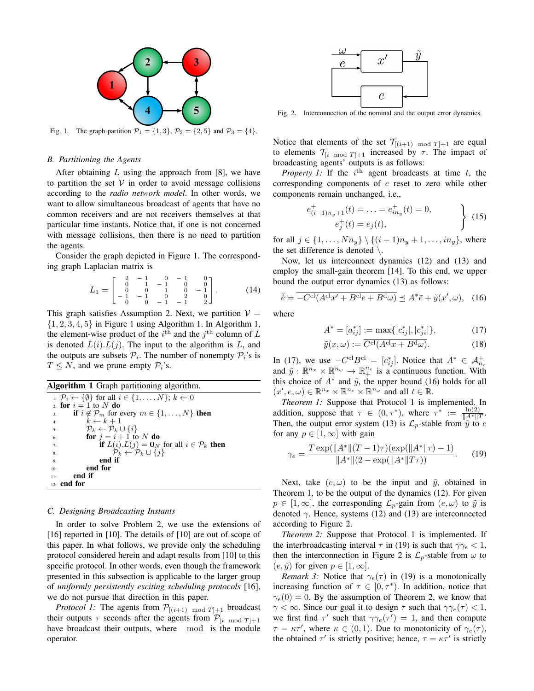

Fig. 1. The graph partition  $\mathcal{P}_1 = \{1, 3\}$ ,  $\mathcal{P}_2 = \{2, 5\}$  and  $\mathcal{P}_3 = \{4\}$ .

## *B. Partitioning the Agents*

After obtaining  $L$  using the approach from [8], we have to partition the set  $V$  in order to avoid message collisions according to the *radio network model*. In other words, we want to allow simultaneous broadcast of agents that have no common receivers and are not receivers themselves at that particular time instants. Notice that, if one is not concerned with message collisions, then there is no need to partition the agents.

Consider the graph depicted in Figure 1. The corresponding graph Laplacian matrix is

$$
L_1 = \begin{bmatrix} 2 & -1 & 0 & -1 & 0 \\ 0 & 1 & -1 & 0 & 0 \\ -1 & 0 & 1 & 0 & -1 \\ -1 & -1 & 0 & 2 & 0 \\ 0 & 0 & -1 & -1 & 2 \end{bmatrix} . \tag{14}
$$

This graph satisfies Assumption 2. Next, we partition  $V =$  $\{1, 2, 3, 4, 5\}$  in Figure 1 using Algorithm 1. In Algorithm 1, the element-wise product of the  $i^{\text{th}}$  and the  $j^{\text{th}}$  column of L is denoted  $L(i) L(j)$ . The input to the algorithm is L, and the outputs are subsets  $P_i$ . The number of nonempty  $P_i$ 's is  $T \leq N$ , and we prune empty  $\mathcal{P}_i$ 's.

Algorithm 1 Graph partitioning algorithm.

|     | $i: \mathcal{P}_i \leftarrow \{\emptyset\}$ for all $i \in \{1, \ldots, N\}; k \leftarrow 0$ |
|-----|----------------------------------------------------------------------------------------------|
|     | 2 for $i = 1$ to N do                                                                        |
| 3:  | if $i \notin \mathcal{P}_m$ for every $m \in \{1, , N\}$ then                                |
| 4:  | $k \leftarrow k+1$                                                                           |
| 5:  | $\mathcal{P}_k \leftarrow \mathcal{P}_k \cup \{i\}$                                          |
| 6:  | for $i = i + 1$ to N do                                                                      |
| 7:  | if $L(i) L(j) = \mathbf{0}_N$ for all $i \in \mathcal{P}_k$ then                             |
| 8:  | $\mathcal{P}_k \leftarrow \mathcal{P}_k \cup \{j\}$                                          |
| 9:  | end if                                                                                       |
| 10: | end for                                                                                      |
| 11: | end if                                                                                       |
| 12: | end for                                                                                      |

#### *C. Designing Broadcasting Instants*

In order to solve Problem 2, we use the extensions of [16] reported in [10]. The details of [10] are out of scope of this paper. In what follows, we provide only the scheduling protocol considered herein and adapt results from [10] to this specific protocol. In other words, even though the framework presented in this subsection is applicable to the larger group of *uniformly persistently exciting scheduling protocols* [16], we do not pursue that direction in this paper.

*Protocol 1:* The agents from  $P_{[(i+1) \mod T]+1}$  broadcast their outputs  $\tau$  seconds after the agents from  $\mathcal{P}_{[i \mod T]+1}$ have broadcast their outputs, where mod is the module operator.



Fig. 2. Interconnection of the nominal and the output error dynamics.

Notice that elements of the set  $\mathcal{T}_{[(i+1) \mod T]+1}$  are equal to elements  $\mathcal{T}_{[i \mod T]+1}$  increased by  $\tau$ . The impact of broadcasting agents' outputs is as follows:

*Property 1:* If the  $i<sup>th</sup>$  agent broadcasts at time  $t$ , the corresponding components of e reset to zero while other components remain unchanged, i.e.,

$$
e_{(i-1)n_y+1}^+(t) = \dots = e_{in_y}^+(t) = 0,
$$
  
\n
$$
e_j^+(t) = e_j(t),
$$
\n(15)

for all  $j \in \{1, ..., Nn_y\} \setminus \{(i-1)n_y + 1, ..., in_y\}$ , where the set difference is denoted  $\setminus$ .

Now, let us interconnect dynamics (12) and (13) and employ the small-gain theorem [14]. To this end, we upper bound the output error dynamics (13) as follows:

$$
\bar{e} = \overline{-C^{\text{cl}}(A^{\text{cl}}x' + B^{\text{cl}}e + B^{\text{d}}\omega)} \preceq A^* \bar{e} + \tilde{y}(x', \omega), \quad (16)
$$

where

$$
A^* = [a_{ij}^*] := \max\{|c_{ij}^*|, |c_{ji}^*|\},\tag{17}
$$

$$
\tilde{y}(x,\omega) := \overline{C^{\text{cl}}(A^{\text{cl}}x + B^{\text{d}}\omega)}.
$$
\n(18)

In (17), we use  $-C^{cl}B^{cl} = [c_{ij}^*]$ . Notice that  $A^* \in \mathcal{A}_{n_e}^+$ <br>and  $\tilde{y}: \mathbb{R}^{n_x} \times \mathbb{R}^{n_\omega} \to \mathbb{R}^{n_e}$  is a continuous function. With this choice of  $A^*$  and  $\tilde{y}$ , the upper bound (16) holds for all  $(x', e, \omega) \in \mathbb{R}^{n_x} \times \mathbb{R}^{n_e} \times \mathbb{R}^{n_\omega}$  and all  $t \in \mathbb{R}$ .

*Theorem 1:* Suppose that Protocol 1 is implemented. In addition, suppose that  $\tau \in (0, \tau^*)$ , where  $\tau^* := \frac{\ln(2)}{\|A^*\|T}$ . Then, the output error system (13) is  $\mathcal{L}_p$ -stable from  $\hat{y}$  to  $e$ for any  $p \in [1,\infty]$  with gain

$$
\gamma_e = \frac{T \exp(\|A^*\|(T-1)\tau)(\exp(\|A^*\|\tau) - 1)}{\|A^*\|(2 - \exp(\|A^*\|T\tau))}.
$$
 (19)

Next, take  $(e, \omega)$  to be the input and  $\tilde{y}$ , obtained in Theorem 1, to be the output of the dynamics (12). For given  $p \in [1,\infty]$ , the corresponding  $\mathcal{L}_p$ -gain from  $(e,\omega)$  to  $\tilde{y}$  is denoted  $\gamma$ . Hence, systems (12) and (13) are interconnected according to Figure 2.

*Theorem 2:* Suppose that Protocol 1 is implemented. If the interbroadcasting interval  $\tau$  in (19) is such that  $\gamma \gamma_e < 1$ , then the interconnection in Figure 2 is  $\mathcal{L}_p$ -stable from  $\omega$  to  $(e, \tilde{y})$  for given  $p \in [1, \infty]$ .

*Remark 3:* Notice that  $\gamma_e(\tau)$  in (19) is a monotonically increasing function of  $\tau \in [0, \tau^* )$ . In addition, notice that  $\gamma_e(0) = 0$ . By the assumption of Theorem 2, we know that  $\gamma < \infty$ . Since our goal it to design  $\tau$  such that  $\gamma \gamma_e(\tau) < 1$ , we first find  $\tau'$  such that  $\gamma \gamma_e(\tau') = 1$ , and then compute  $\tau = \kappa \tau'$ , where  $\kappa \in (0, 1)$ . Due to monotonicity of  $\gamma_e(\tau)$ , the obtained  $\tau'$  is strictly positive; hence,  $\tau = \kappa \tau'$  is strictly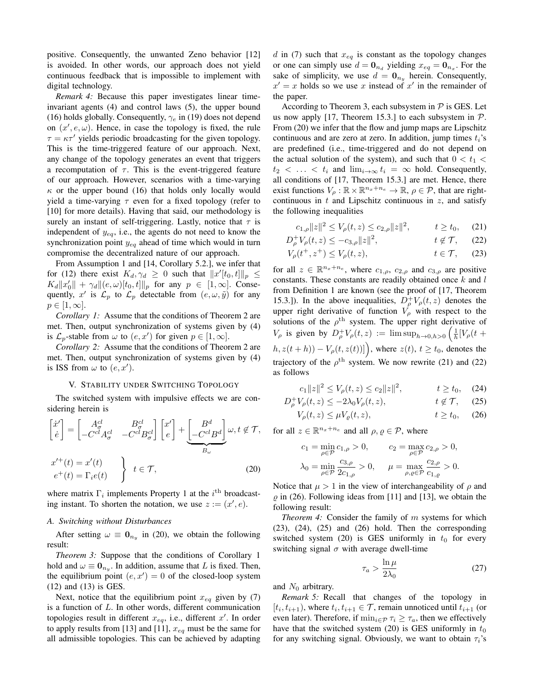positive. Consequently, the unwanted Zeno behavior [12] is avoided. In other words, our approach does not yield continuous feedback that is impossible to implement with digital technology.

*Remark 4:* Because this paper investigates linear timeinvariant agents (4) and control laws (5), the upper bound (16) holds globally. Consequently,  $\gamma_e$  in (19) does not depend on  $(x', e, \omega)$ . Hence, in case the topology is fixed, the rule  $\tau = \kappa \tau'$  yields periodic broadcasting for the given topology. This is the time-triggered feature of our approach. Next, any change of the topology generates an event that triggers a recomputation of  $\tau$ . This is the event-triggered feature of our approach. However, scenarios with a time-varying  $\kappa$  or the upper bound (16) that holds only locally would yield a time-varying  $\tau$  even for a fixed topology (refer to [10] for more details). Having that said, our methodology is surely an instant of self-triggering. Lastly, notice that  $\tau$  is independent of  $y_{eq}$ , i.e., the agents do not need to know the synchronization point  $y_{eq}$  ahead of time which would in turn compromise the decentralized nature of our approach.

From Assumption 1 and [14, Corollary 5.2.], we infer that for (12) there exist  $K_d, \gamma_d \geq 0$  such that  $||x'[t_0, t]||_p \leq$  $K_d ||x'_0|| + \gamma_d ||(e, \omega)[t_0, t]||_p$  for any  $p \in [1, \infty]$ . Consequently, x' is  $\mathcal{L}_p$  to  $\mathcal{L}_p$  detectable from  $(e, \omega, \tilde{y})$  for any  $p \in [1,\infty].$ 

*Corollary 1:* Assume that the conditions of Theorem 2 are met. Then, output synchronization of systems given by (4) is  $\mathcal{L}_p$ -stable from  $\omega$  to  $(e, x')$  for given  $p \in [1, \infty]$ .

*Corollary 2:* Assume that the conditions of Theorem 2 are met. Then, output synchronization of systems given by (4) is ISS from  $\omega$  to  $(e, x')$ .

## V. STABILITY UNDER SWITCHING TOPOLOGY

The switched system with impulsive effects we are considering herein is

$$
\begin{bmatrix} \dot{x}' \\ \dot{e} \end{bmatrix} = \begin{bmatrix} A_{\sigma}^{cl} & B_{\sigma}^{cl} \\ -C^{cl} A_{\sigma}^{cl} & -C^{cl} B_{\sigma}^{cl} \end{bmatrix} \begin{bmatrix} x' \\ e \end{bmatrix} + \underbrace{\begin{bmatrix} B^{d} \\ -C^{cl} B^{d} \end{bmatrix}}_{B_{\omega}} \omega, t \notin \mathcal{T},
$$
\n
$$
x'^{+}(t) = x'(t)
$$
\n
$$
e^{+}(t) = \Gamma_{i}e(t)
$$
\n
$$
\begin{aligned} t \in \mathcal{T}, \qquad (20) \end{aligned}
$$

where matrix  $\Gamma_i$  implements Property 1 at the  $i^{\text{th}}$  broadcasting instant. To shorten the notation, we use  $z := (x', e)$ .

#### *A. Switching without Disturbances*

After setting  $\omega \equiv \mathbf{0}_{n_y}$  in (20), we obtain the following result:

*Theorem 3:* Suppose that the conditions of Corollary 1 hold and  $\omega \equiv \mathbf{0}_{n_y}$ . In addition, assume that L is fixed. Then, the equilibrium point  $(e, x') = 0$  of the closed-loop system (12) and (13) is GES.

Next, notice that the equilibrium point  $x_{eq}$  given by (7) is a function of L. In other words, different communication topologies result in different  $x_{eq}$ , i.e., different  $x'$ . In order to apply results from [13] and [11],  $x_{eq}$  must be the same for all admissible topologies. This can be achieved by adapting d in (7) such that  $x_{eq}$  is constant as the topology changes or one can simply use  $d = \mathbf{0}_{n_d}$  yielding  $x_{eq} = \mathbf{0}_{n_x}$ . For the sake of simplicity, we use  $d = \mathbf{0}_{n_y}$  herein. Consequently,  $x' = x$  holds so we use x instead of  $x'$  in the remainder of the paper.

According to Theorem 3, each subsystem in  $P$  is GES. Let us now apply [17, Theorem 15.3.] to each subsystem in  $P$ . From (20) we infer that the flow and jump maps are Lipschitz continuous and are zero at zero. In addition, jump times  $t_i$ 's are predefined (i.e., time-triggered and do not depend on the actual solution of the system), and such that  $0 < t_1 <$  $t_2 < \ldots < t_i$  and  $\lim_{i \to \infty} t_i = \infty$  hold. Consequently, all conditions of [17, Theorem 15.3.] are met. Hence, there exist functions  $V_\rho : \mathbb{R} \times \mathbb{R}^{n_x+n_e} \to \mathbb{R}, \rho \in \mathcal{P}$ , that are rightcontinuous in  $t$  and Lipschitz continuous in  $z$ , and satisfy the following inequalities

$$
c_{1,\rho}||z||^2 \le V_{\rho}(t,z) \le c_{2,\rho}||z||^2, \qquad t \ge t_0,\tag{21}
$$

$$
D_{\rho}^{+}V_{\rho}(t,z) \le -c_{3,\rho}||z||^{2}, \qquad t \notin \mathcal{T}, \qquad (22)
$$

$$
V_{\rho}(t^+, z^+) \le V_{\rho}(t, z), \qquad t \in \mathcal{T}, \qquad (23)
$$

for all  $z \in \mathbb{R}^{n_x+n_e}$ , where  $c_{1,\rho}$ ,  $c_{2,\rho}$  and  $c_{3,\rho}$  are positive constants. These constants are readily obtained once  $k$  and  $l$ from Definition 1 are known (see the proof of [17, Theorem 15.3.]). In the above inequalities,  $D_p^+V_p(t, z)$  denotes the upper right derivative of function  $V_{\rho}$  with respect to the solutions of the  $\rho^{\text{th}}$  system. The upper right derivative of  $V_\rho$  is given by  $D_\rho^+ V_\rho(t, z) := \limsup_{h \to 0, h > 0} \left( \frac{1}{h} [V_\rho(t +$  $(h, z(t+h)) - V_{\rho}(t, z(t))]$ , where  $z(t), t \geq t_0$ , denotes the trajectory of the  $\rho^{\text{th}}$  system. We now rewrite (21) and (22) as follows

$$
c_1 \|z\|^2 \le V_\rho(t, z) \le c_2 \|z\|^2, \qquad t \ge t_0, \quad (24)
$$

$$
D_{\rho}^{+}V_{\rho}(t,z) \le -2\lambda_0 V_{\rho}(t,z), \qquad t \notin \mathcal{T}, \quad (25)
$$

$$
V_{\rho}(t,z) \le \mu V_{\varrho}(t,z), \qquad t \ge t_0, \quad (26)
$$

for all  $z \in \mathbb{R}^{n_x+n_e}$  and all  $\rho, \varrho \in \mathcal{P}$ , where

$$
c_1 = \min_{\rho \in \mathcal{P}} c_{1,\rho} > 0, \qquad c_2 = \max_{\rho \in \mathcal{P}} c_{2,\rho} > 0, \lambda_0 = \min_{\rho \in \mathcal{P}} \frac{c_{3,\rho}}{2c_{1,\rho}} > 0, \qquad \mu = \max_{\rho, \varrho \in \mathcal{P}} \frac{c_{2,\rho}}{c_{1,\varrho}} > 0.
$$

Notice that  $\mu > 1$  in the view of interchangeability of  $\rho$  and  $\rho$  in (26). Following ideas from [11] and [13], we obtain the following result:

*Theorem 4:* Consider the family of m systems for which (23), (24), (25) and (26) hold. Then the corresponding switched system (20) is GES uniformly in  $t_0$  for every switching signal  $\sigma$  with average dwell-time

$$
\tau_a > \frac{\ln \mu}{2\lambda_0} \tag{27}
$$

and  $N_0$  arbitrary.

*Remark 5:* Recall that changes of the topology in  $[t_i, t_{i+1})$ , where  $t_i, t_{i+1} \in \mathcal{T}$ , remain unnoticed until  $t_{i+1}$  (or even later). Therefore, if  $\min_{i \in \mathcal{P}} \tau_i \geq \tau_a$ , then we effectively have that the switched system (20) is GES uniformly in  $t_0$ for any switching signal. Obviously, we want to obtain  $\tau_i$ 's